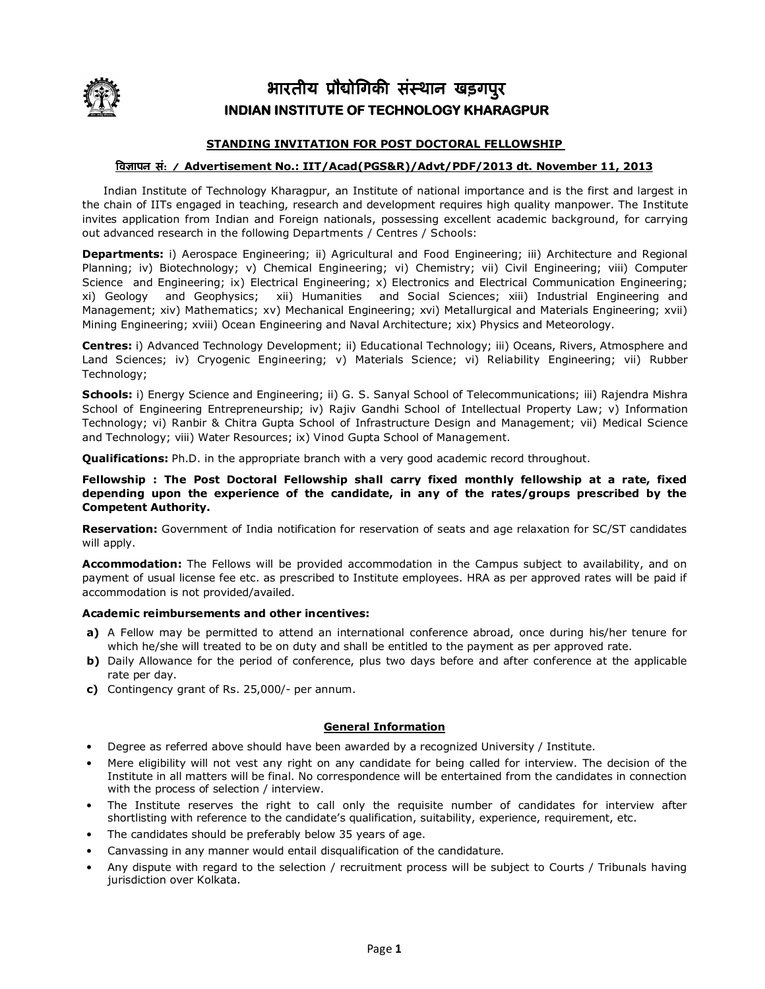

# भारतीय प्रौद्योगिकी संस्थान खड़गपुर **INDIAN INSTITUTE OF TECHNOLOGY KHARAGPUR**

## **STANDING INVITATION FOR POST DOCTORAL FELLOWSHIP**

## िवापन सं: / / **Advertisement No.: IIT/Acad(PGS&R)/Advt/PDF/2013 dt. November 11, 2013**

 Indian Institute of Technology Kharagpur, an Institute of national importance and is the first and largest in the chain of IITs engaged in teaching, research and development requires high quality manpower. The Institute invites application from Indian and Foreign nationals, possessing excellent academic background, for carrying out advanced research in the following Departments / Centres / Schools:

**Departments:** i) Aerospace Engineering; ii) Agricultural and Food Engineering; iii) Architecture and Regional Planning; iv) Biotechnology; v) Chemical Engineering; vi) Chemistry; vii) Civil Engineering; viii) Computer Science and Engineering; ix) Electrical Engineering; x) Electronics and Electrical Communication Engineering; xi) Geology and Geophysics; xii) Humanities and Social Sciences; xiii) Industrial Engineering and Management; xiv) Mathematics; xv) Mechanical Engineering; xvi) Metallurgical and Materials Engineering; xvii) Mining Engineering; xviii) Ocean Engineering and Naval Architecture; xix) Physics and Meteorology.

**Centres:** i) Advanced Technology Development; ii) Educational Technology; iii) Oceans, Rivers, Atmosphere and Land Sciences; iv) Cryogenic Engineering; v) Materials Science; vi) Reliability Engineering; vii) Rubber Technology;

**Schools:** i) Energy Science and Engineering; ii) G. S. Sanyal School of Telecommunications; iii) Rajendra Mishra School of Engineering Entrepreneurship; iv) Rajiv Gandhi School of Intellectual Property Law; v) Information Technology; vi) Ranbir & Chitra Gupta School of Infrastructure Design and Management; vii) Medical Science and Technology; viii) Water Resources; ix) Vinod Gupta School of Management.

**Qualifications:** Ph.D. in the appropriate branch with a very good academic record throughout.

**Fellowship : The Post Doctoral Fellowship shall carry fixed monthly fellowship at a rate, fixed depending upon the experience of the candidate, in any of the rates/groups prescribed by the Competent Authority.** 

**Reservation:** Government of India notification for reservation of seats and age relaxation for SC/ST candidates will apply.

**Accommodation:** The Fellows will be provided accommodation in the Campus subject to availability, and on payment of usual license fee etc. as prescribed to Institute employees. HRA as per approved rates will be paid if accommodation is not provided/availed.

### **Academic reimbursements and other incentives:**

- **a)** A Fellow may be permitted to attend an international conference abroad, once during his/her tenure for which he/she will treated to be on duty and shall be entitled to the payment as per approved rate.
- **b)** Daily Allowance for the period of conference, plus two days before and after conference at the applicable rate per day.
- **c)** Contingency grant of Rs. 25,000/- per annum.

### **General Information**

- Degree as referred above should have been awarded by a recognized University / Institute.
- Mere eligibility will not vest any right on any candidate for being called for interview. The decision of the Institute in all matters will be final. No correspondence will be entertained from the candidates in connection with the process of selection / interview.
- The Institute reserves the right to call only the requisite number of candidates for interview after shortlisting with reference to the candidate's qualification, suitability, experience, requirement, etc.
- The candidates should be preferably below 35 years of age.
- Canvassing in any manner would entail disqualification of the candidature.
- Any dispute with regard to the selection / recruitment process will be subject to Courts / Tribunals having jurisdiction over Kolkata.